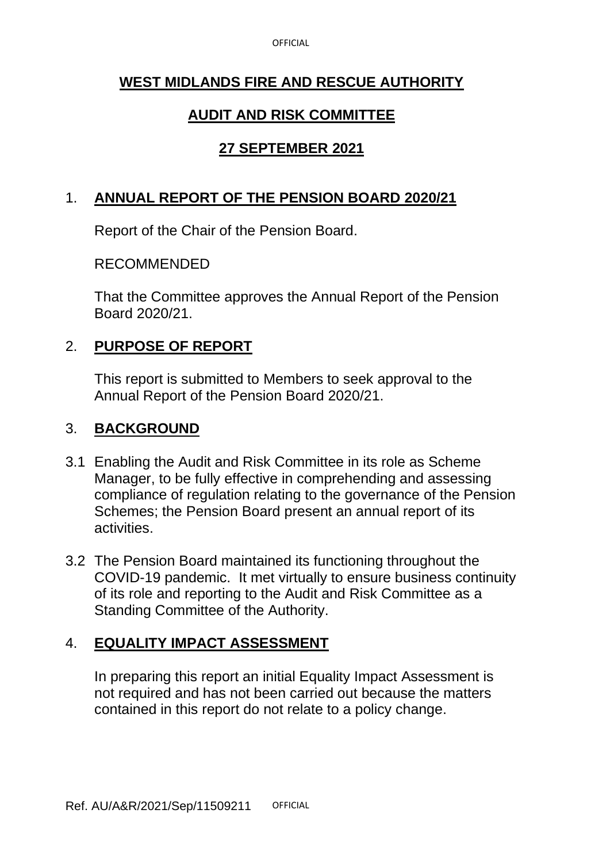**OFFICIAL** 

## **WEST MIDLANDS FIRE AND RESCUE AUTHORITY**

# **AUDIT AND RISK COMMITTEE**

## **27 SEPTEMBER 2021**

## 1. **ANNUAL REPORT OF THE PENSION BOARD 2020/21**

Report of the Chair of the Pension Board.

### RECOMMENDED

That the Committee approves the Annual Report of the Pension Board 2020/21.

## 2. **PURPOSE OF REPORT**

This report is submitted to Members to seek approval to the Annual Report of the Pension Board 2020/21.

### 3. **BACKGROUND**

- 3.1 Enabling the Audit and Risk Committee in its role as Scheme Manager, to be fully effective in comprehending and assessing compliance of regulation relating to the governance of the Pension Schemes; the Pension Board present an annual report of its activities.
- 3.2 The Pension Board maintained its functioning throughout the COVID-19 pandemic. It met virtually to ensure business continuity of its role and reporting to the Audit and Risk Committee as a Standing Committee of the Authority.

## 4. **EQUALITY IMPACT ASSESSMENT**

In preparing this report an initial Equality Impact Assessment is not required and has not been carried out because the matters contained in this report do not relate to a policy change.